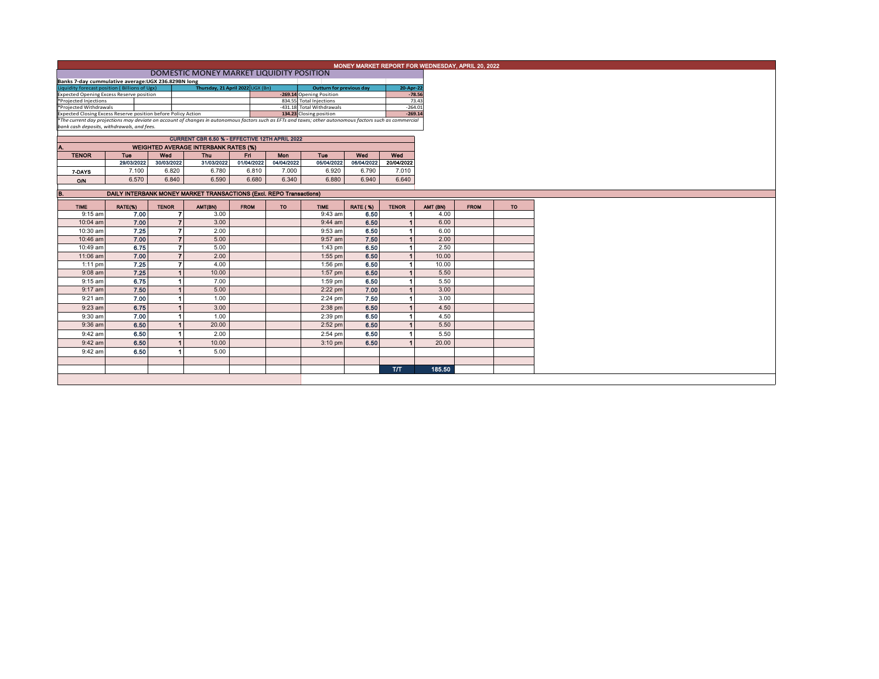| MONEY MARKET REPORT FOR WEDNESDAY, APRIL 20, 2022<br>DOMESTIC MONEY MARKET LIQUIDITY POSITION                                                            |                                                                                               |                          |            |             |                          |             |                 |              |          |  |  |  |  |
|----------------------------------------------------------------------------------------------------------------------------------------------------------|-----------------------------------------------------------------------------------------------|--------------------------|------------|-------------|--------------------------|-------------|-----------------|--------------|----------|--|--|--|--|
|                                                                                                                                                          | Banks 7-day cummulative average: UGX 236.829BN long                                           |                          |            |             |                          |             |                 |              |          |  |  |  |  |
| Liquidity forecast position (Billions of Ugx)                                                                                                            | Outturn for previous day                                                                      |                          | 20-Apr-22  |             |                          |             |                 |              |          |  |  |  |  |
| Thursday, 21 April 2022 UGX (Bn)<br><b>Expected Opening Excess Reserve position</b>                                                                      |                                                                                               |                          |            |             | -269.14 Opening Position |             | $-78.56$        |              |          |  |  |  |  |
| *Projected Injections                                                                                                                                    |                                                                                               |                          |            |             | 834.55 Total Injections  |             |                 | 73.43        |          |  |  |  |  |
| *Projected Withdrawals<br>Expected Closing Excess Reserve position before Policy Action                                                                  | -431.18 Total Withdrawals<br>134.23 Closing position                                          | $-264.01$<br>$-269.14$   |            |             |                          |             |                 |              |          |  |  |  |  |
| *The current day projections may deviate on account of changes in autonomous factors such as EFTs and taxes; other autonomous factors such as commercial |                                                                                               |                          |            |             |                          |             |                 |              |          |  |  |  |  |
| bank cash deposits, withdrawals, and fees.                                                                                                               |                                                                                               |                          |            |             |                          |             |                 |              |          |  |  |  |  |
|                                                                                                                                                          |                                                                                               |                          |            |             |                          |             |                 |              |          |  |  |  |  |
|                                                                                                                                                          | CURRENT CBR 6.50 % - EFFECTIVE 12TH APRIL 2022<br><b>WEIGHTED AVERAGE INTERBANK RATES (%)</b> |                          |            |             |                          |             |                 |              |          |  |  |  |  |
| Tue<br>Tue<br>Wed<br>Wed<br><b>TENOR</b><br>Wed<br><b>Thu</b><br>Fri<br>Mon                                                                              |                                                                                               |                          |            |             |                          |             |                 |              |          |  |  |  |  |
|                                                                                                                                                          | 29/03/2022                                                                                    | 30/03/2022               | 31/03/2022 | 01/04/2022  | 04/04/2022               | 05/04/2022  | 06/04/2022      | 20/04/2022   |          |  |  |  |  |
| 7-DAYS                                                                                                                                                   | 7.100                                                                                         | 6.820                    | 6.780      | 6.810       | 7.000                    | 6.920       | 6.790           | 7.010        |          |  |  |  |  |
| O/N                                                                                                                                                      | 6.570                                                                                         | 6.840                    | 6.590      | 6.680       | 6.340                    | 6,880       | 6.940           | 6.640        |          |  |  |  |  |
|                                                                                                                                                          |                                                                                               |                          |            |             |                          |             |                 |              |          |  |  |  |  |
| B.                                                                                                                                                       | DAILY INTERBANK MONEY MARKET TRANSACTIONS (Excl. REPO Transactions)                           |                          |            |             |                          |             |                 |              |          |  |  |  |  |
| <b>TIME</b>                                                                                                                                              | RATE(%)                                                                                       | <b>TENOR</b>             | AMT(BN)    | <b>FROM</b> | <b>TO</b>                | <b>TIME</b> | <b>RATE (%)</b> | <b>TENOR</b> | AMT (BN) |  |  |  |  |
| $9:15$ am                                                                                                                                                | 7.00                                                                                          |                          | 3.00       |             |                          | 9:43 am     | 6.50            |              |          |  |  |  |  |
| 10:04 am                                                                                                                                                 | 7.00                                                                                          |                          | 3.00       |             |                          | $9:44$ am   | 6.50            |              |          |  |  |  |  |
| 10:30 am                                                                                                                                                 | 7.25                                                                                          |                          | 2.00       |             |                          | $9:53$ am   | 6.50            |              |          |  |  |  |  |
| 10:46 am                                                                                                                                                 | 7.00                                                                                          |                          | 5.00       |             |                          | $9:57$ am   | 7.50            |              |          |  |  |  |  |
| 10:49 am                                                                                                                                                 | 6.75                                                                                          | $\overline{\phantom{a}}$ | 5.00       |             |                          | $1:43$ pm   | 6.50            |              |          |  |  |  |  |
| 11:06 am                                                                                                                                                 | 7.00                                                                                          |                          | 2.00       |             |                          | $1:55$ pm   | 6.50            |              |          |  |  |  |  |
| $1:11$ pm                                                                                                                                                | 7.25                                                                                          |                          | 4.00       |             |                          | $1:56$ pm   | 6.50            |              |          |  |  |  |  |
| $9:08$ am                                                                                                                                                | 7.25                                                                                          |                          | 10.00      |             |                          | $1:57$ pm   | 6.50            |              |          |  |  |  |  |
| $9:15$ am                                                                                                                                                | 6.75                                                                                          |                          | 7.00       |             |                          | $1:59$ pm   | 6.50            |              |          |  |  |  |  |
| $9:17$ am                                                                                                                                                | 7.50                                                                                          |                          | 5.00       |             |                          | $2:22$ pm   | 7.00            |              |          |  |  |  |  |
| $9:21$ am                                                                                                                                                | 7.00                                                                                          |                          | 1.00       |             |                          | $2:24$ pm   | 7.50            |              |          |  |  |  |  |
| 9:23 am                                                                                                                                                  | 6.75                                                                                          |                          | 3.00       |             |                          | $2:38$ pm   | 6.50            |              |          |  |  |  |  |
| 9:30 am                                                                                                                                                  | 7.00                                                                                          |                          | 1.00       |             |                          | $2:39$ pm   | 6,50            |              |          |  |  |  |  |
|                                                                                                                                                          |                                                                                               |                          |            |             |                          |             |                 |              |          |  |  |  |  |
| 9:36 am                                                                                                                                                  | 6.50                                                                                          |                          | 20.00      |             |                          | $2:52$ pm   | 6.50            |              |          |  |  |  |  |
| 9:42 am                                                                                                                                                  | 6.50                                                                                          |                          | 2.00       |             |                          | 2:54 pm     | 6.50            |              |          |  |  |  |  |
| 9:42 am                                                                                                                                                  | 6.50                                                                                          |                          | 10.00      |             |                          | $3:10$ pm   | 6.50            |              |          |  |  |  |  |
| 9:42 am                                                                                                                                                  | 6.50                                                                                          |                          | 5.00       |             |                          |             |                 |              |          |  |  |  |  |
|                                                                                                                                                          |                                                                                               |                          |            |             |                          |             |                 |              |          |  |  |  |  |
|                                                                                                                                                          |                                                                                               |                          |            |             |                          |             |                 | T/T          |          |  |  |  |  |
|                                                                                                                                                          |                                                                                               |                          |            |             |                          |             |                 |              |          |  |  |  |  |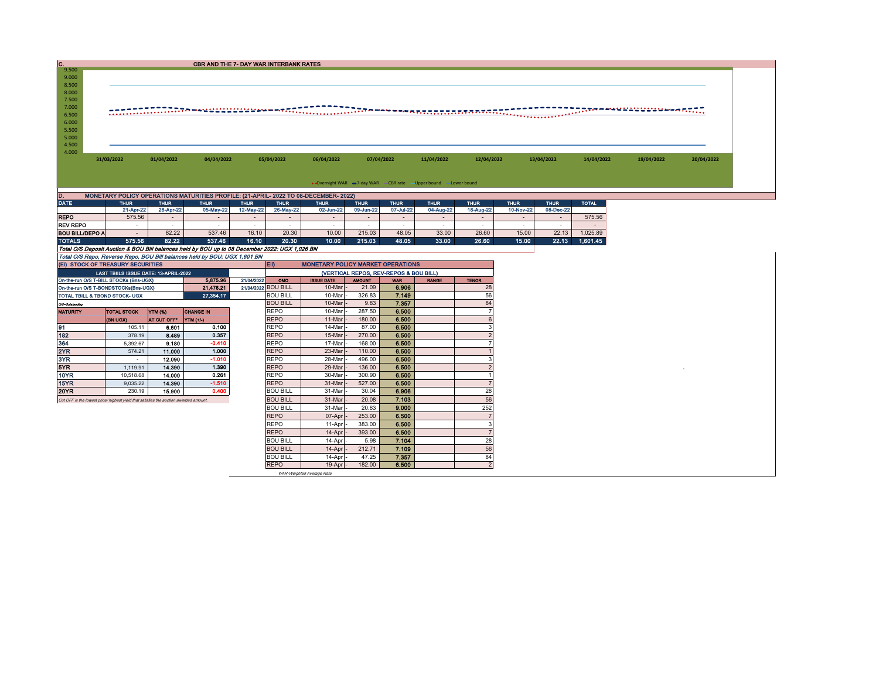| C.                                                                                                                                                              |                                                                                       |                 | <b>CBR AND THE 7- DAY WAR INTERBANK RATES</b>                                                  |                     |                                                                                                                                   |                                          |                  |                |             |                |             |               |              |            |            |
|-----------------------------------------------------------------------------------------------------------------------------------------------------------------|---------------------------------------------------------------------------------------|-----------------|------------------------------------------------------------------------------------------------|---------------------|-----------------------------------------------------------------------------------------------------------------------------------|------------------------------------------|------------------|----------------|-------------|----------------|-------------|---------------|--------------|------------|------------|
| 9.500<br>9.000<br>8.500<br>8.000                                                                                                                                |                                                                                       |                 |                                                                                                |                     |                                                                                                                                   |                                          |                  |                |             |                |             |               |              |            |            |
| 7.500<br>7.000                                                                                                                                                  |                                                                                       |                 |                                                                                                |                     |                                                                                                                                   |                                          |                  |                |             |                |             |               |              |            |            |
| 6.500                                                                                                                                                           |                                                                                       |                 |                                                                                                |                     |                                                                                                                                   |                                          |                  |                |             |                |             |               |              |            |            |
| 6.000                                                                                                                                                           |                                                                                       |                 |                                                                                                |                     |                                                                                                                                   |                                          |                  |                |             |                |             |               |              |            |            |
| 5.500<br>5.000                                                                                                                                                  |                                                                                       |                 |                                                                                                |                     |                                                                                                                                   |                                          |                  |                |             |                |             |               |              |            |            |
| 4.500                                                                                                                                                           |                                                                                       |                 |                                                                                                |                     |                                                                                                                                   |                                          |                  |                |             |                |             |               |              |            |            |
| 4.000                                                                                                                                                           |                                                                                       |                 |                                                                                                |                     |                                                                                                                                   |                                          |                  |                |             |                |             |               |              |            |            |
|                                                                                                                                                                 | 01/04/2022<br>31/03/2022<br>04/04/2022                                                |                 |                                                                                                |                     | 05/04/2022                                                                                                                        | 06/04/2022                               | 07/04/2022       |                | 11/04/2022  | 12/04/2022     |             | 13/04/2022    | 14/04/2022   | 19/04/2022 | 20/04/2022 |
|                                                                                                                                                                 |                                                                                       |                 |                                                                                                |                     |                                                                                                                                   |                                          |                  |                |             |                |             |               |              |            |            |
|                                                                                                                                                                 |                                                                                       |                 |                                                                                                |                     |                                                                                                                                   |                                          |                  |                |             |                |             |               |              |            |            |
| • Overnight WAR -7-day WAR - CBR rate - Upper bound - Lower bound<br>D.<br>MONETARY POLICY OPERATIONS MATURITIES PROFILE: (21-APRIL- 2022 TO 08-DECEMBER- 2022) |                                                                                       |                 |                                                                                                |                     |                                                                                                                                   |                                          |                  |                |             |                |             |               |              |            |            |
| <b>DATE</b>                                                                                                                                                     | <b>THUR</b>                                                                           | <b>THUR</b>     | <b>THUR</b>                                                                                    | <b>THUR</b>         | <b>THUR</b>                                                                                                                       | <b>THUR</b>                              | <b>THUR</b>      | <b>THUR</b>    | <b>THUR</b> | <b>THUR</b>    | <b>THUR</b> | <b>THUR</b>   | <b>TOTAL</b> |            |            |
|                                                                                                                                                                 | 21-Apr-22                                                                             | 28-Apr-22       | 05-May-22                                                                                      | 12-May-22           | 26-May-22                                                                                                                         | 02-Jun-22                                | 09-Jun-22        | 07-Jul-22      | 04-Aug-22   | 18-Aug-22      | 10-Nov-22   | 08-Dec-22     |              |            |            |
| <b>REPO</b>                                                                                                                                                     | 575.56                                                                                | $\sim$          |                                                                                                | $\sim$              | $\overline{\phantom{a}}$                                                                                                          | $\overline{a}$                           | $\sim$           | $\omega$       |             | $\sim$         | $\sim$      | $\mathcal{L}$ | 575.56       |            |            |
| <b>REV REPO</b>                                                                                                                                                 | $\sim$                                                                                | $\sim$          | $\sim$                                                                                         | $\sim$              | $\sim$                                                                                                                            | $\sim$                                   | $\sim$           | $\sim$         | $\sim$      | $\sim$         | $\sim$      | $\sim$        | in 1919.     |            |            |
| <b>BOU BILL/DEPO A</b>                                                                                                                                          | $\sim$                                                                                | 82.22           | 537.46                                                                                         | 16.10               | 20.30                                                                                                                             | 10.00                                    | 215.03           | 48.05          | 33.00       | 26.60          | 15.00       | 22.13         | 1,025.89     |            |            |
| <b>TOTALS</b>                                                                                                                                                   | 575.56                                                                                | 82.22           | 537.46                                                                                         | 16.10               | 20.30                                                                                                                             | 10.00                                    | 215.03           | 48.05          | 33.00       | 26.60          | 15.00       | 22.13         | 1,601.45     |            |            |
|                                                                                                                                                                 |                                                                                       |                 | Total O/S Deposit Auction & BOU Bill balances held by BOU up to 08 December 2022: UGX 1,026 BN |                     |                                                                                                                                   |                                          |                  |                |             |                |             |               |              |            |            |
|                                                                                                                                                                 | (EI) STOCK OF TREASURY SECURITIES                                                     |                 | Total O/S Repo, Reverse Repo, BOU Bill balances held by BOU: UGX 1,601 BN                      |                     | EID                                                                                                                               | <b>MONETARY POLICY MARKET OPERATIONS</b> |                  |                |             |                |             |               |              |            |            |
|                                                                                                                                                                 |                                                                                       |                 |                                                                                                |                     |                                                                                                                                   |                                          |                  |                |             |                |             |               |              |            |            |
|                                                                                                                                                                 | LAST TBIILS ISSUE DATE: 13-APRIL-2022<br>On-the-run O/S T-BILL STOCKs (Bns-UGX)       |                 | 5.875.96                                                                                       | 21/04/2022          | (VERTICAL REPOS, REV-REPOS & BOU BILL)<br><b>AMOUNT</b><br><b>TENOR</b><br>OMO<br><b>ISSUE DATE</b><br><b>WAR</b><br><b>RANGE</b> |                                          |                  |                |             |                |             |               |              |            |            |
|                                                                                                                                                                 | On-the-run O/S T-BONDSTOCKs(Bns-UGX)                                                  |                 | 21,478.21                                                                                      | 21/04/2022 BOU BILL |                                                                                                                                   | 10-Mar                                   | 21.09            | 6.906          |             | 28             |             |               |              |            |            |
|                                                                                                                                                                 | TOTAL TBILL & TBOND STOCK- UGX                                                        |                 | 27,354.17                                                                                      |                     | <b>BOU BILL</b>                                                                                                                   | 10-Mar                                   | 326.83           | 7.149          |             | 56             |             |               |              |            |            |
| O/S=Outstanding                                                                                                                                                 |                                                                                       |                 |                                                                                                |                     | <b>BOU BILL</b>                                                                                                                   | 10-Mar                                   | 9.83             | 7.357          |             | 84             |             |               |              |            |            |
| <b>MATURITY</b>                                                                                                                                                 | <b>TOTAL STOCK</b>                                                                    | YTM (%)         | <b>CHANGE IN</b>                                                                               |                     | <b>REPO</b>                                                                                                                       | 10-Mar                                   | 287.50           | 6.500          |             |                |             |               |              |            |            |
|                                                                                                                                                                 | (BN UGX)                                                                              | AT CUT OFF*     | YTM (+/-)                                                                                      |                     | <b>REPO</b>                                                                                                                       | 11-Mar                                   | 180.00           | 6.500          |             | 6              |             |               |              |            |            |
| 91                                                                                                                                                              | 105.11                                                                                | 6.601           | 0.100                                                                                          |                     | <b>REPO</b>                                                                                                                       | 14-Mar                                   | 87.00            | 6.500          |             | 3              |             |               |              |            |            |
| 182<br>364                                                                                                                                                      | 378.19                                                                                | 8.489           | 0.357<br>$-0.410$                                                                              |                     | <b>REPO</b><br><b>REPO</b>                                                                                                        | 15-Mar<br>17-Mar                         | 270.00<br>168.00 | 6.500<br>6.500 |             | $\overline{2}$ |             |               |              |            |            |
| 2YR                                                                                                                                                             | 5,392.67<br>574.21                                                                    | 9.180<br>11.000 | 1.000                                                                                          |                     | <b>REPO</b>                                                                                                                       | 23-Mar                                   | 110.00           | 6.500          |             |                |             |               |              |            |            |
| 3YR                                                                                                                                                             | $\sim$                                                                                | 12.090          | $-1.010$                                                                                       |                     | <b>REPO</b>                                                                                                                       | 28-Mar                                   | 496.00           | 6.500          |             | 3              |             |               |              |            |            |
| 5YR                                                                                                                                                             | 1.119.91                                                                              | 14.390          | 1.390                                                                                          |                     | <b>REPO</b>                                                                                                                       | 29-Mar                                   | 136.00           | 6.500          |             | $\mathcal{P}$  |             |               |              |            |            |
| 10YR                                                                                                                                                            | 10,518.68                                                                             | 14.000          | 0.261                                                                                          |                     | <b>REPO</b>                                                                                                                       | 30-Mar                                   | 300.90           | 6.500          |             |                |             |               |              |            |            |
| 15YR                                                                                                                                                            | 9,035.22                                                                              | 14.390          | $-1.510$                                                                                       |                     | <b>REPO</b>                                                                                                                       | 31-Mar                                   | 527.00           | 6.500          |             |                |             |               |              |            |            |
| 20YR                                                                                                                                                            | 230.19                                                                                | 15.900          | 0.400                                                                                          |                     | <b>BOU BILL</b>                                                                                                                   | 31-Mar                                   | 30.04            | 6.906          |             | 28             |             |               |              |            |            |
|                                                                                                                                                                 | Cut OFF is the lowest price/ highest yield that satisfies the auction awarded amount. |                 |                                                                                                |                     | <b>BOU BILL</b>                                                                                                                   | 31-Mar                                   | 20.08            | 7.103          |             | 56             |             |               |              |            |            |
|                                                                                                                                                                 |                                                                                       |                 |                                                                                                |                     | <b>BOU BILL</b>                                                                                                                   | 31-Mar                                   | 20.83            | 9.000          |             | 252            |             |               |              |            |            |
|                                                                                                                                                                 |                                                                                       |                 |                                                                                                |                     | <b>REPO</b>                                                                                                                       | 07-Apr                                   | 253.00           | 6.500          |             |                |             |               |              |            |            |
|                                                                                                                                                                 |                                                                                       |                 |                                                                                                |                     | REPO                                                                                                                              | 11-Apr                                   | 383.00           | 6.500          |             | 3              |             |               |              |            |            |
|                                                                                                                                                                 |                                                                                       |                 |                                                                                                |                     | <b>REPO</b>                                                                                                                       | 14-Apr                                   | 393.00           | 6.500          |             | $\overline{7}$ |             |               |              |            |            |
|                                                                                                                                                                 |                                                                                       |                 |                                                                                                |                     | <b>BOU BILL</b><br><b>BOU BILL</b>                                                                                                | 14-Apr                                   | 5.98<br>212.71   | 7.104<br>7.109 |             | 28<br>56       |             |               |              |            |            |
|                                                                                                                                                                 |                                                                                       |                 |                                                                                                |                     | <b>BOU BILL</b>                                                                                                                   | 14-Apr<br>14-Apr                         | 47.25            | 7.357          |             | 84             |             |               |              |            |            |
|                                                                                                                                                                 |                                                                                       |                 |                                                                                                |                     | <b>REPO</b>                                                                                                                       | 19-Apr                                   | 182.00           | 6.500          |             | $\overline{2}$ |             |               |              |            |            |
|                                                                                                                                                                 |                                                                                       |                 |                                                                                                |                     |                                                                                                                                   | WAR-Weighted Average Rate                |                  |                |             |                |             |               |              |            |            |